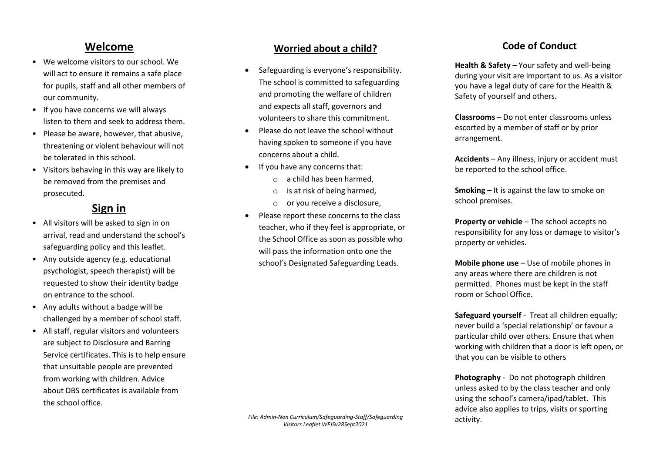# **Welcome**

- We welcome visitors to our school. We will act to ensure it remains a safe place for pupils, staff and all other members of our community.
- If you have concerns we will always listen to them and seek to address them.
- Please be aware, however, that abusive, threatening or violent behaviour will not be tolerated in this school.
- Visitors behaving in this way are likely to be removed from the premises and prosecuted.

# **Sign in**

- All visitors will be asked to sign in on arrival, read and understand the school's safeguarding policy and this leaflet.
- Any outside agency (e.g. educational psychologist, speech therapist) will be requested to show their identity badge on entrance to the school.
- Any adults without a badge will be challenged by a member of school staff.
- All staff, regular visitors and volunteers are subject to Disclosure and Barring Service certificates. This is to help ensure that unsuitable people are prevented from working with children. Advice about DBS certificates is available from the school office.

### **Worried about a child?**

- Safeguarding is everyone's responsibility. The school is committed to safeguarding and promoting the welfare of children and expects all staff, governors and volunteers to share this commitment.
- Please do not leave the school without having spoken to someone if you have concerns about a child.
- If you have any concerns that:
	- o a child has been harmed,
	- o is at risk of being harmed,
	- o or you receive a disclosure,
- Please report these concerns to the class teacher, who if they feel is appropriate, or the School Office as soon as possible who will pass the information onto one the school's Designated Safeguarding Leads.

**Health & Safety** – Your safety and well-being during your visit are important to us. As a visitor you have a legal duty of care for the Health & Safety of yourself and others.

o **Classrooms** – Do not enter classrooms unless escorted by a member of staff or by prior arrangement.

Accidents – Any illness, injury or accident must be reported to the school office.

**Smoking** – It is against the law to smoke on school premises.

**Property or vehicle** – The school accepts no responsibility for any loss or damage to visitor's property or vehicles.

**Mobile phone use** – Use of mobile phones in any areas where there are children is not permitted. Phones must be kept in the staff room or School Office.

Safeguard yourself - Treat all children equally; never build a 'special relationship' or favour a particular child over others. Ensure that when working with children that a door is left open, or that you can be visible to others

**Photography** - Do not photograph children unless asked to by the class teacher and only using the school's camera/ipad/tablet. This advice also applies to trips, visits or sporting activity.